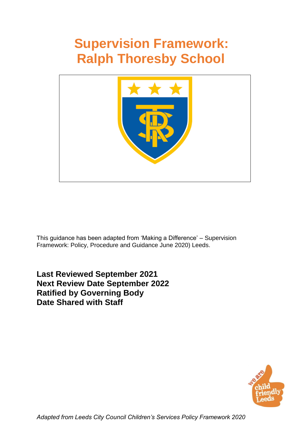# **Supervision Framework: Ralph Thoresby School**



This guidance has been adapted from 'Making a Difference' – Supervision Framework: Policy, Procedure and Guidance June 2020) Leeds.

**Last Reviewed September 2021 Next Review Date September 2022 Ratified by Governing Body Date Shared with Staff** 

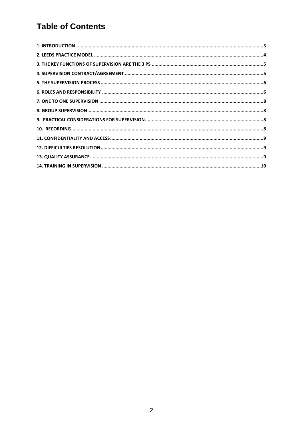## **Table of Contents**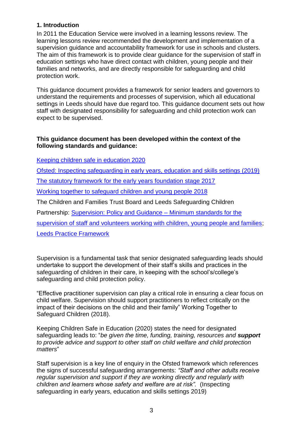#### <span id="page-2-0"></span>**1. Introduction**

In 2011 the Education Service were involved in a learning lessons review. The learning lessons review recommended the development and implementation of a supervision guidance and accountability framework for use in schools and clusters. The aim of this framework is to provide clear guidance for the supervision of staff in education settings who have direct contact with children, young people and their families and networks, and are directly responsible for safeguarding and child protection work.

This guidance document provides a framework for senior leaders and governors to understand the requirements and processes of supervision, which all educational settings in Leeds should have due regard too. This guidance document sets out how staff with designated responsibility for safeguarding and child protection work can expect to be supervised.

#### **This guidance document has been developed within the context of the following standards and guidance:**

Keeping children safe in education 2020

Ofsted: Inspecting safeguarding in early years, education and skills settings (2019)

The statutory framework for the early years foundation stage 2017

Working together to safeguard children and young people 2018

The Children and Families Trust Board and Leeds Safeguarding Children

Partnership: [Supervision: Policy and Guidance –](https://www.leedsscp.org.uk/LSCB/media/Images/pdfs/Supervision-Minimum-Standards-May-2018-2.pdf) Minimum standards for the

[supervision of staff and volunteers working with children, young people and families;](https://www.leedsscp.org.uk/LSCB/media/Images/pdfs/Supervision-Minimum-Standards-May-2018-2.pdf)

[Leeds Practice Framework](https://www.leeds.gov.uk/docs/Leeds%20Practice%20Model.pdf)

Supervision is a fundamental task that senior designated safeguarding leads should undertake to support the development of their staff's skills and practices in the safeguarding of children in their care, in keeping with the school's/college's safeguarding and child protection policy.

"Effective practitioner supervision can play a critical role in ensuring a clear focus on child welfare. Supervision should support practitioners to reflect critically on the impact of their decisions on the child and their family" Working Together to Safeguard Children (2018).

Keeping Children Safe in Education (2020) states the need for designated safeguarding leads to: "*be given the time, funding, training, resources and support to provide advice and support to other staff on child welfare and child protection matters*"

Staff supervision is a key line of enquiry in the Ofsted framework which references the signs of successful safeguarding arrangements: *"Staff and other adults receive regular supervision and support if they are working directly and regularly with children and learners whose safety and welfare are at risk".* (Inspecting safeguarding in early years, education and skills settings 2019)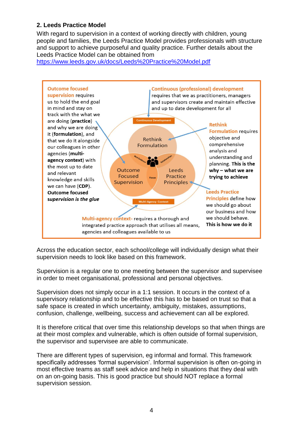#### <span id="page-3-0"></span>**2. Leeds Practice Model**

With regard to supervision in a context of working directly with children, young people and families, the Leeds Practice Model provides professionals with structure and support to achieve purposeful and quality practice. Further details about the Leeds Practice Model can be obtained from

<https://www.leeds.gov.uk/docs/Leeds%20Practice%20Model.pdf>



Across the education sector, each school/college will individually design what their supervision needs to look like based on this framework.

Supervision is a regular one to one meeting between the supervisor and supervisee in order to meet organisational, professional and personal objectives.

Supervision does not simply occur in a 1:1 session. It occurs in the context of a supervisory relationship and to be effective this has to be based on trust so that a safe space is created in which uncertainty, ambiguity, mistakes, assumptions, confusion, challenge, wellbeing, success and achievement can all be explored.

It is therefore critical that over time this relationship develops so that when things are at their most complex and vulnerable, which is often outside of formal supervision, the supervisor and supervisee are able to communicate.

There are different types of supervision, eg informal and formal. This framework specifically addresses 'formal supervision'. Informal supervision is often on-going in most effective teams as staff seek advice and help in situations that they deal with on an on-going basis. This is good practice but should NOT replace a formal supervision session.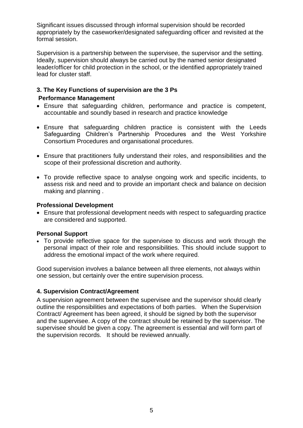Significant issues discussed through informal supervision should be recorded appropriately by the caseworker/designated safeguarding officer and revisited at the formal session.

Supervision is a partnership between the supervisee, the supervisor and the setting. Ideally, supervision should always be carried out by the named senior designated leader/officer for child protection in the school, or the identified appropriately trained lead for cluster staff.

#### <span id="page-4-0"></span>**3. The Key Functions of supervision are the 3 Ps Performance Management**

- Ensure that safeguarding children, performance and practice is competent, accountable and soundly based in research and practice knowledge
- Ensure that safeguarding children practice is consistent with the Leeds Safeguarding Children's Partnership Procedures and the West Yorkshire Consortium Procedures and organisational procedures.
- Ensure that practitioners fully understand their roles, and responsibilities and the scope of their professional discretion and authority.
- To provide reflective space to analyse ongoing work and specific incidents, to assess risk and need and to provide an important check and balance on decision making and planning .

#### **Professional Development**

 Ensure that professional development needs with respect to safeguarding practice are considered and supported.

#### **Personal Support**

 To provide reflective space for the supervisee to discuss and work through the personal impact of their role and responsibilities. This should include support to address the emotional impact of the work where required.

Good supervision involves a balance between all three elements, not always within one session, but certainly over the entire supervision process.

#### <span id="page-4-1"></span>**4. Supervision Contract/Agreement**

A supervision agreement between the supervisee and the supervisor should clearly outline the responsibilities and expectations of both parties. When the Supervision Contract/ Agreement has been agreed, it should be signed by both the supervisor and the supervisee. A copy of the contract should be retained by the supervisor. The supervisee should be given a copy. The agreement is essential and will form part of the supervision records. It should be reviewed annually.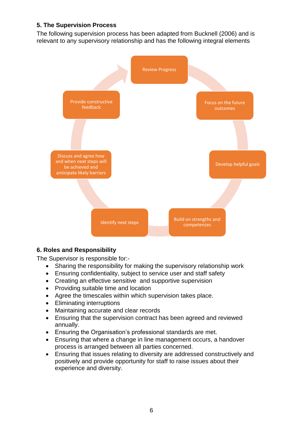#### <span id="page-5-0"></span>**5. The Supervision Process**

The following supervision process has been adapted from Bucknell (2006) and is relevant to any supervisory relationship and has the following integral elements



#### <span id="page-5-1"></span>**6. Roles and Responsibility**

The Supervisor is responsible for:-

- Sharing the responsibility for making the supervisory relationship work
- Ensuring confidentiality, subject to service user and staff safety
- Creating an effective sensitive and supportive supervision
- Providing suitable time and location
- Agree the timescales within which supervision takes place.
- Eliminating interruptions
- Maintaining accurate and clear records
- Ensuring that the supervision contract has been agreed and reviewed annually.
- Ensuring the Organisation's professional standards are met.
- Ensuring that where a change in line management occurs, a handover process is arranged between all parties concerned.
- Ensuring that issues relating to diversity are addressed constructively and positively and provide opportunity for staff to raise issues about their experience and diversity.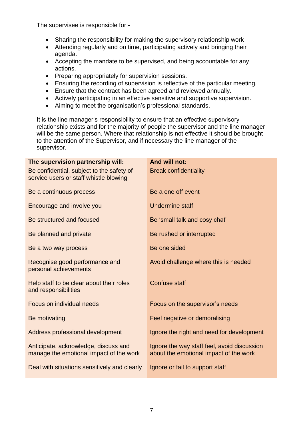The supervisee is responsible for:-

- Sharing the responsibility for making the supervisory relationship work
- Attending regularly and on time, participating actively and bringing their agenda.
- Accepting the mandate to be supervised, and being accountable for any actions.
- Preparing appropriately for supervision sessions.
- Ensuring the recording of supervision is reflective of the particular meeting.
- Ensure that the contract has been agreed and reviewed annually.
- Actively participating in an effective sensitive and supportive supervision.
- Aiming to meet the organisation's professional standards.

It is the line manager's responsibility to ensure that an effective supervisory relationship exists and for the majority of people the supervisor and the line manager will be the same person. Where that relationship is not effective it should be brought to the attention of the Supervisor, and if necessary the line manager of the supervisor.

| The supervision partnership will:                                                   | And will not:                                                                         |
|-------------------------------------------------------------------------------------|---------------------------------------------------------------------------------------|
| Be confidential, subject to the safety of<br>service users or staff whistle blowing | <b>Break confidentiality</b>                                                          |
| Be a continuous process                                                             | Be a one off event                                                                    |
| Encourage and involve you                                                           | Undermine staff                                                                       |
| Be structured and focused                                                           | Be 'small talk and cosy chat'                                                         |
| Be planned and private                                                              | Be rushed or interrupted                                                              |
| Be a two way process                                                                | Be one sided                                                                          |
| Recognise good performance and<br>personal achievements                             | Avoid challenge where this is needed                                                  |
| Help staff to be clear about their roles<br>and responsibilities                    | <b>Confuse staff</b>                                                                  |
| Focus on individual needs                                                           | Focus on the supervisor's needs                                                       |
| Be motivating                                                                       | Feel negative or demoralising                                                         |
| Address professional development                                                    | Ignore the right and need for development                                             |
| Anticipate, acknowledge, discuss and<br>manage the emotional impact of the work     | Ignore the way staff feel, avoid discussion<br>about the emotional impact of the work |
| Deal with situations sensitively and clearly                                        | Ignore or fail to support staff                                                       |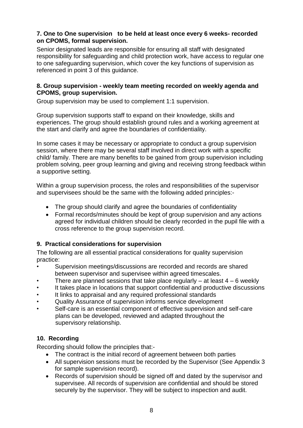#### <span id="page-7-0"></span>**7. One to One supervision to be held at least once every 6 weeks- recorded on CPOMS, formal supervision.**

Senior designated leads are responsible for ensuring all staff with designated responsibility for safeguarding and child protection work, have access to regular one to one safeguarding supervision, which cover the key functions of supervision as referenced in point 3 of this guidance.

#### <span id="page-7-1"></span>**8. Group supervision - weekly team meeting recorded on weekly agenda and CPOMS, group supervision.**

Group supervision may be used to complement 1:1 supervision.

Group supervision supports staff to expand on their knowledge, skills and experiences. The group should establish ground rules and a working agreement at the start and clarify and agree the boundaries of confidentiality.

In some cases it may be necessary or appropriate to conduct a group supervision session, where there may be several staff involved in direct work with a specific child/ family. There are many benefits to be gained from group supervision including problem solving, peer group learning and giving and receiving strong feedback within a supportive setting.

Within a group supervision process, the roles and responsibilities of the supervisor and supervisees should be the same with the following added principles:-

- The group should clarify and agree the boundaries of confidentiality
- Formal records/minutes should be kept of group supervision and any actions agreed for individual children should be clearly recorded in the pupil file with a cross reference to the group supervision record.

#### <span id="page-7-2"></span>**9. Practical considerations for supervision**

The following are all essential practical considerations for quality supervision practice:

- Supervision meetings/discussions are recorded and records are shared between supervisor and supervisee within agreed timescales.
- There are planned sessions that take place regularly at least  $4 6$  weekly
- It takes place in locations that support confidential and productive discussions
- It links to appraisal and any required professional standards
- Quality Assurance of supervision informs service development
- Self-care is an essential component of effective supervision and self-care plans can be developed, reviewed and adapted throughout the supervisory relationship.

#### <span id="page-7-3"></span>**10. Recording**

Recording should follow the principles that:-

- The contract is the initial record of agreement between both parties
- All supervision sessions must be recorded by the Supervisor (See Appendix 3 for sample supervision record).
- Records of supervision should be signed off and dated by the supervisor and supervisee. All records of supervision are confidential and should be stored securely by the supervisor. They will be subject to inspection and audit.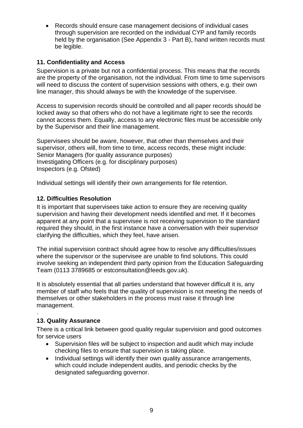Records should ensure case management decisions of individual cases through supervision are recorded on the individual CYP and family records held by the organisation (See Appendix 3 - Part B), hand written records must be legible.

#### <span id="page-8-0"></span>**11. Confidentiality and Access**

Supervision is a private but not a confidential process. This means that the records are the property of the organisation, not the individual. From time to time supervisors will need to discuss the content of supervision sessions with others, e.g. their own line manager, this should always be with the knowledge of the supervisee.

Access to supervision records should be controlled and all paper records should be locked away so that others who do not have a legitimate right to see the records cannot access them. Equally, access to any electronic files must be accessible only by the Supervisor and their line management.

Supervisees should be aware, however, that other than themselves and their supervisor, others will, from time to time, access records, these might include: Senior Managers (for quality assurance purposes) Investigating Officers (e.g. for disciplinary purposes) Inspectors (e.g. Ofsted)

Individual settings will identify their own arrangements for file retention.

#### <span id="page-8-1"></span>**12. Difficulties Resolution**

It is important that supervisees take action to ensure they are receiving quality supervision and having their development needs identified and met. If it becomes apparent at any point that a supervisee is not receiving supervision to the standard required they should, in the first instance have a conversation with their supervisor clarifying the difficulties, which they feel, have arisen.

The initial supervision contract should agree how to resolve any difficulties/issues where the supervisor or the supervisee are unable to find solutions. This could involve seeking an independent third party opinion from the Education Safeguarding Team (0113 3789685 or estconsultation@leeds.gov.uk).

It is absolutely essential that all parties understand that however difficult it is, any member of staff who feels that the quality of supervision is not meeting the needs of themselves or other stakeholders in the process must raise it through line management.

#### <span id="page-8-2"></span>**13. Quality Assurance**

.

There is a critical link between good quality regular supervision and good outcomes for service users

- Supervision files will be subject to inspection and audit which may include checking files to ensure that supervision is taking place.
- Individual settings will identify their own quality assurance arrangements, which could include independent audits, and periodic checks by the designated safeguarding governor.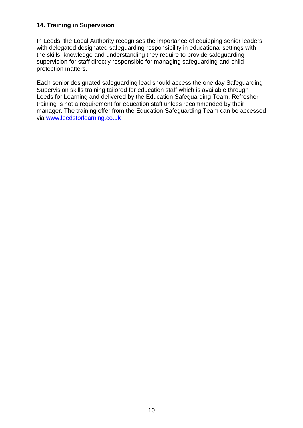#### <span id="page-9-0"></span>**14. Training in Supervision**

In Leeds, the Local Authority recognises the importance of equipping senior leaders with delegated designated safeguarding responsibility in educational settings with the skills, knowledge and understanding they require to provide safeguarding supervision for staff directly responsible for managing safeguarding and child protection matters.

Each senior designated safeguarding lead should access the one day Safeguarding Supervision skills training tailored for education staff which is available through Leeds for Learning and delivered by the Education Safeguarding Team, Refresher training is not a requirement for education staff unless recommended by their manager. The training offer from the Education Safeguarding Team can be accessed via [www.leedsforlearning.co.uk](http://www.leedsforlearning.co.uk/)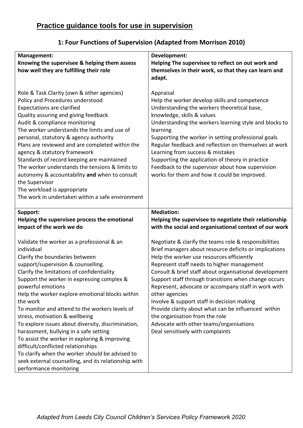| Management:                                          | Development:                                           |
|------------------------------------------------------|--------------------------------------------------------|
| Knowing the supervisee & helping them assess         | Helping The supervisee to reflect on out work and      |
| how well they are fulfilling their role              | themselves in their work, so that they can learn and   |
|                                                      | adapt.                                                 |
|                                                      |                                                        |
| Role & Task Clarity (own & other agencies)           | Appraisal                                              |
| Policy and Procedures understood                     | Help the worker develop skills and competence          |
| <b>Expectations are clarified</b>                    | Understanding the workers theoretical base,            |
| Quality assuring and giving feedback                 | knowledge, skills & values                             |
| Audit & compliance monitoring                        | Understanding the workers learning style and blocks to |
| The worker understands the limits and use of         | learning                                               |
| personal, statutory & agency authority               | Supporting the worker in setting professional goals    |
| Plans are reviewed and are completed within the      | Regular feedback and reflection on themselves at work  |
| agency & statutory framework                         | Learning from success & mistakes                       |
| Standards of record keeping are maintained           | Supporting the application of theory in practice       |
| The worker understands the tensions & limits to      | Feedback to the supervisor about how supervision       |
| autonomy & accountability and when to consult        | works for them and how it could be improved.           |
| the Supervisor                                       |                                                        |
| The workload is appropriate                          |                                                        |
| The work in undertaken within a safe environment     |                                                        |
|                                                      |                                                        |
| Support:                                             | <b>Mediation:</b>                                      |
| Helping the supervisee process the emotional         | Helping the supervisee to negotiate their relationship |
| impact of the work we do                             | with the social and organisational context of our work |
|                                                      |                                                        |
| Validate the worker as a professional & an           | Negotiate & clarify the teams role & responsibilities  |
| individual                                           | Brief managers about resource deficits or implications |
| Clarify the boundaries between                       | Help the worker use resources efficiently              |
| support/supervision & counselling.                   | Represent staff needs to higher management             |
| Clarify the limitations of confidentiality           | Consult & brief staff about organisational development |
| Support the worker in expressing complex &           | Support staff through transitions when change occurs   |
| powerful emotions                                    | Represent, advocate or accompany staff in work with    |
| Help the worker explore emotional blocks within      | other agencies                                         |
| the work                                             | Involve & support staff in decision making             |
| To monitor and attend to the workers levels of       | Provide clarity about what can be influenced within    |
| stress, motivation & wellbeing                       | the organisation from the role                         |
| To explore issues about diversity, discrimination,   | Advocate with other teams/organisations                |
| harassment, bullying in a safe setting               | Deal sensitively with complaints                       |
| To assist the worker in exploring & improving        |                                                        |
| difficult/conflicted relationships                   |                                                        |
| To clarify when the worker should be advised to      |                                                        |
| seek external counselling, and its relationship with |                                                        |
| performance monitoring                               |                                                        |

### **1: Four Functions of Supervision (Adapted from Morrison 2010)**